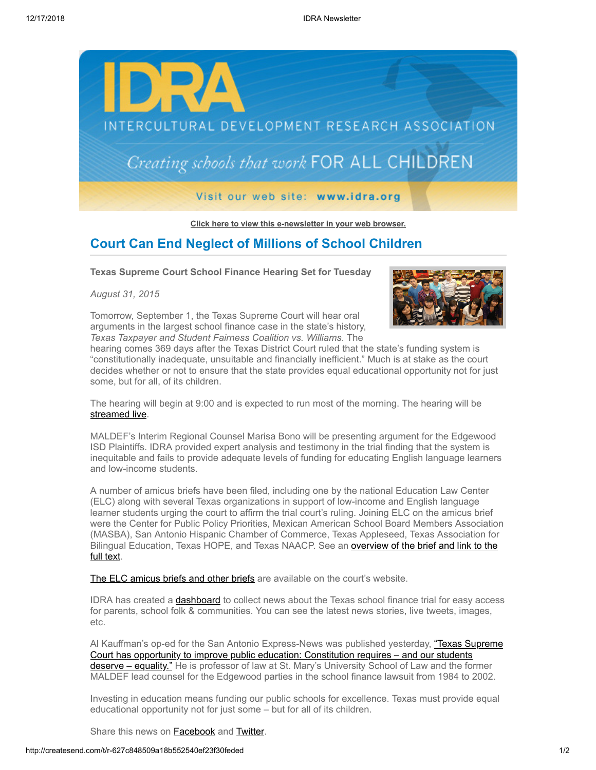

**[Click here to view this e-newsletter in your web browser.](http://newsletter.impulsedevelopment.com/t/r-e-fikvjy-l-r/)**

## **Court Can End Neglect of Millions of School Children**

**Texas Supreme Court School Finance Hearing Set for Tuesday**

*August 31, 2015*

Tomorrow, September 1, the Texas Supreme Court will hear oral arguments in the largest school finance case in the state's history, *Texas Taxpayer and Student Fairness Coalition vs. Williams*. The



hearing comes 369 days after the Texas District Court ruled that the state's funding system is "constitutionally inadequate, unsuitable and financially inefficient." Much is at stake as the court decides whether or not to ensure that the state provides equal educational opportunity not for just some, but for all, of its children.

The hearing will begin at 9:00 and is expected to run most of the morning. The hearing will be [streamed live](http://idra.createsend1.com/t/r-l-fikvjy-l-i/).

MALDEF's Interim Regional Counsel Marisa Bono will be presenting argument for the Edgewood ISD Plaintiffs. IDRA provided expert analysis and testimony in the trial finding that the system is inequitable and fails to provide adequate levels of funding for educating English language learners and low-income students.

A number of amicus briefs have been filed, including one by the national Education Law Center (ELC) along with several Texas organizations in support of low-income and English language learner students urging the court to affirm the trial court's ruling. Joining ELC on the amicus brief were the Center for Public Policy Priorities, Mexican American School Board Members Association (MASBA), San Antonio Hispanic Chamber of Commerce, Texas Appleseed, Texas Association for Bilingual Education, Texas HOPE, and Texas NAACP. See an **overview of the brief and link to the** full text.

[The ELC amicus briefs and other briefs](http://idra.createsend1.com/t/r-l-fikvjy-l-o/) are available on the court's website.

IDRA has created a [dashboard](http://idra.createsend1.com/t/r-l-fikvjy-l-b/) to collect news about the Texas school finance trial for easy access for parents, school folk & communities. You can see the latest news stories, live tweets, images, etc.

[Al Kauffman's op-ed for the San Antonio Express-News was published yesterday, "Texas Supreme](http://idra.createsend1.com/t/r-l-fikvjy-l-n/) Court has opportunity to improve public education: Constitution requires – and our students deserve – equality." He is professor of law at St. Mary's University School of Law and the former MALDEF lead counsel for the Edgewood parties in the school finance lawsuit from 1984 to 2002.

Investing in education means funding our public schools for excellence. Texas must provide equal educational opportunity not for just some – but for all of its children.

Share this news on **Facebook** and **[Twitter](http://idra.createsend1.com/t/r-tw-fikvjy-l-z/)**.